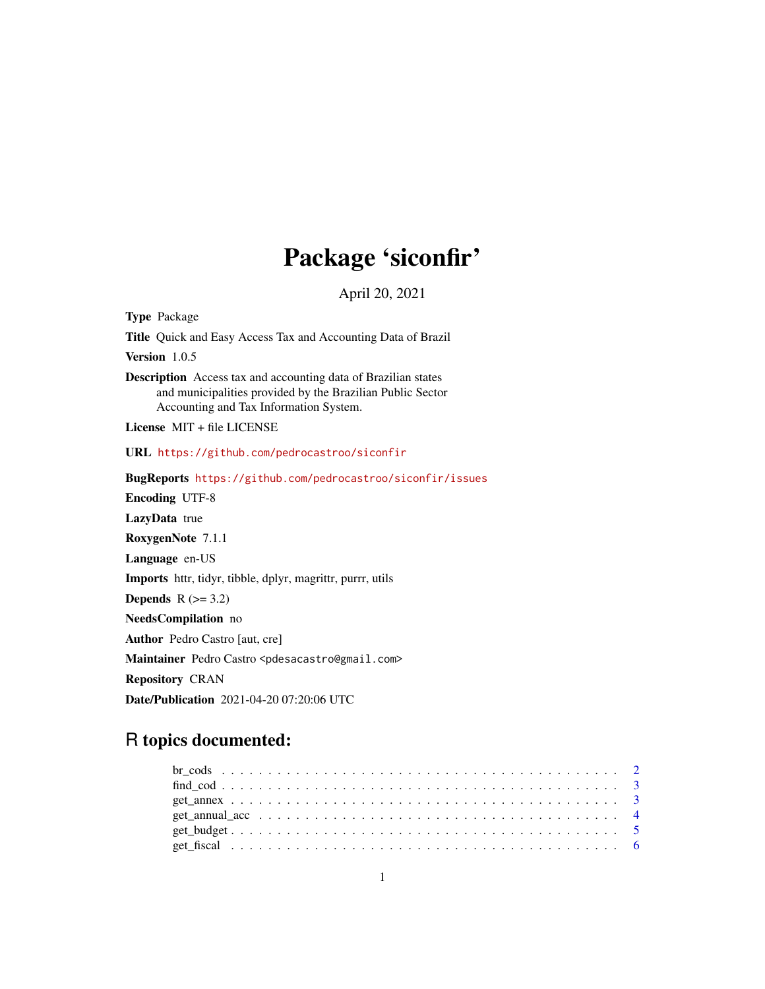# Package 'siconfir'

April 20, 2021

Type Package Title Quick and Easy Access Tax and Accounting Data of Brazil Version 1.0.5 Description Access tax and accounting data of Brazilian states and municipalities provided by the Brazilian Public Sector Accounting and Tax Information System. License MIT + file LICENSE URL <https://github.com/pedrocastroo/siconfir> BugReports <https://github.com/pedrocastroo/siconfir/issues> Encoding UTF-8 LazyData true RoxygenNote 7.1.1 Language en-US Imports httr, tidyr, tibble, dplyr, magrittr, purrr, utils Depends  $R$  ( $>= 3.2$ ) NeedsCompilation no Author Pedro Castro [aut, cre] Maintainer Pedro Castro <pdesacastro@gmail.com> Repository CRAN

Date/Publication 2021-04-20 07:20:06 UTC

# R topics documented: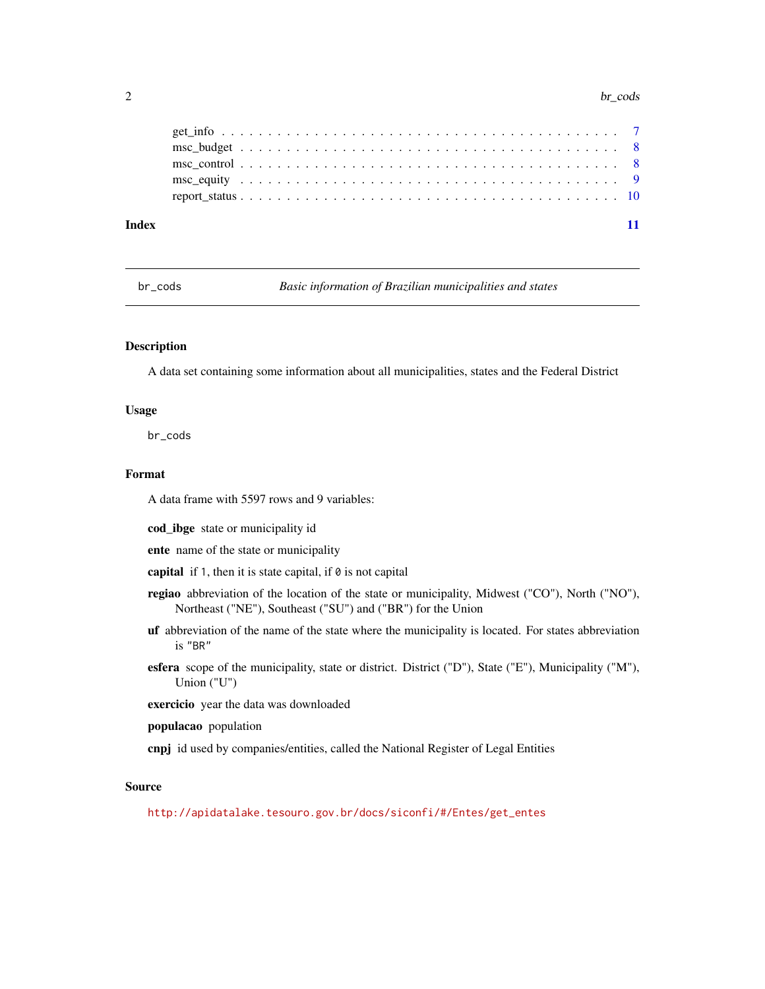#### $2$  br\_cods

br\_cods *Basic information of Brazilian municipalities and states*

#### Description

A data set containing some information about all municipalities, states and the Federal District

#### Usage

br\_cods

# Format

A data frame with 5597 rows and 9 variables:

cod\_ibge state or municipality id

ente name of the state or municipality

capital if 1, then it is state capital, if  $\theta$  is not capital

- regiao abbreviation of the location of the state or municipality, Midwest ("CO"), North ("NO"), Northeast ("NE"), Southeast ("SU") and ("BR") for the Union
- uf abbreviation of the name of the state where the municipality is located. For states abbreviation is "BR"
- esfera scope of the municipality, state or district. District ("D"), State ("E"), Municipality ("M"), Union ("U")

exercicio year the data was downloaded

- populacao population
- cnpj id used by companies/entities, called the National Register of Legal Entities

#### Source

[http://apidatalake.tesouro.gov.br/docs/siconfi/#/Entes/get\\_entes](http://apidatalake.tesouro.gov.br/docs/siconfi/#/Entes/get_entes)

<span id="page-1-0"></span>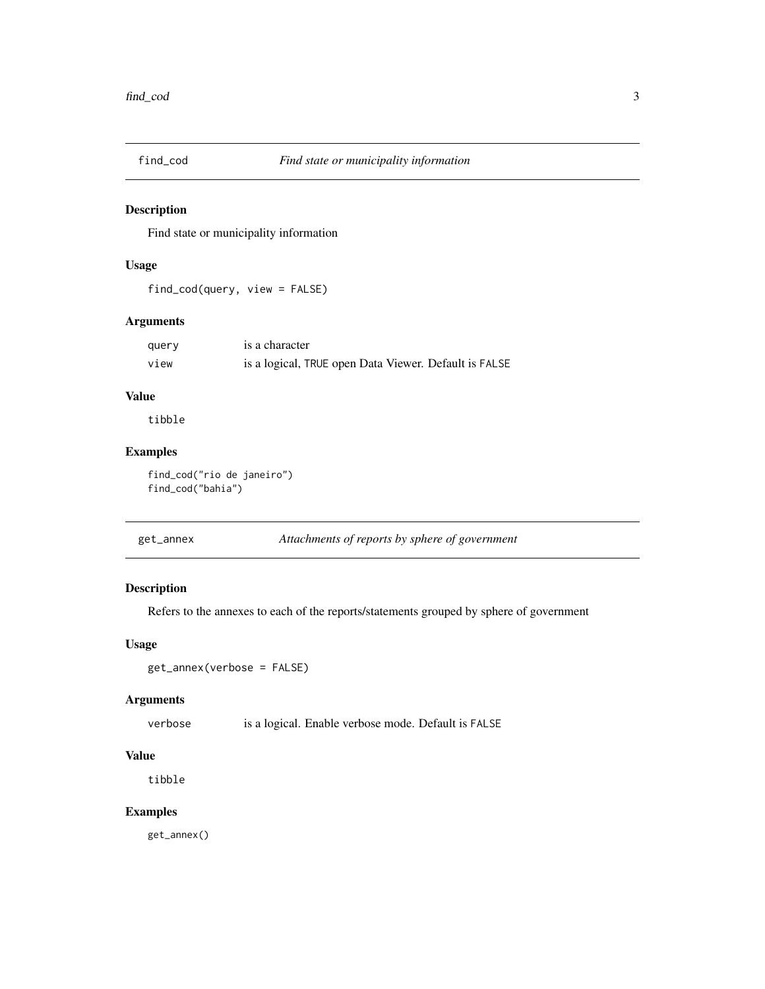<span id="page-2-0"></span>

Find state or municipality information

#### Usage

find\_cod(query, view = FALSE)

# Arguments

| query | is a character                                        |
|-------|-------------------------------------------------------|
| view  | is a logical, TRUE open Data Viewer. Default is FALSE |

# Value

tibble

# Examples

find\_cod("rio de janeiro") find\_cod("bahia")

| get_annex | Attachments of reports by sphere of government |
|-----------|------------------------------------------------|
|-----------|------------------------------------------------|

# Description

Refers to the annexes to each of the reports/statements grouped by sphere of government

# Usage

```
get_annex(verbose = FALSE)
```
# Arguments

verbose is a logical. Enable verbose mode. Default is FALSE

# Value

tibble

# Examples

get\_annex()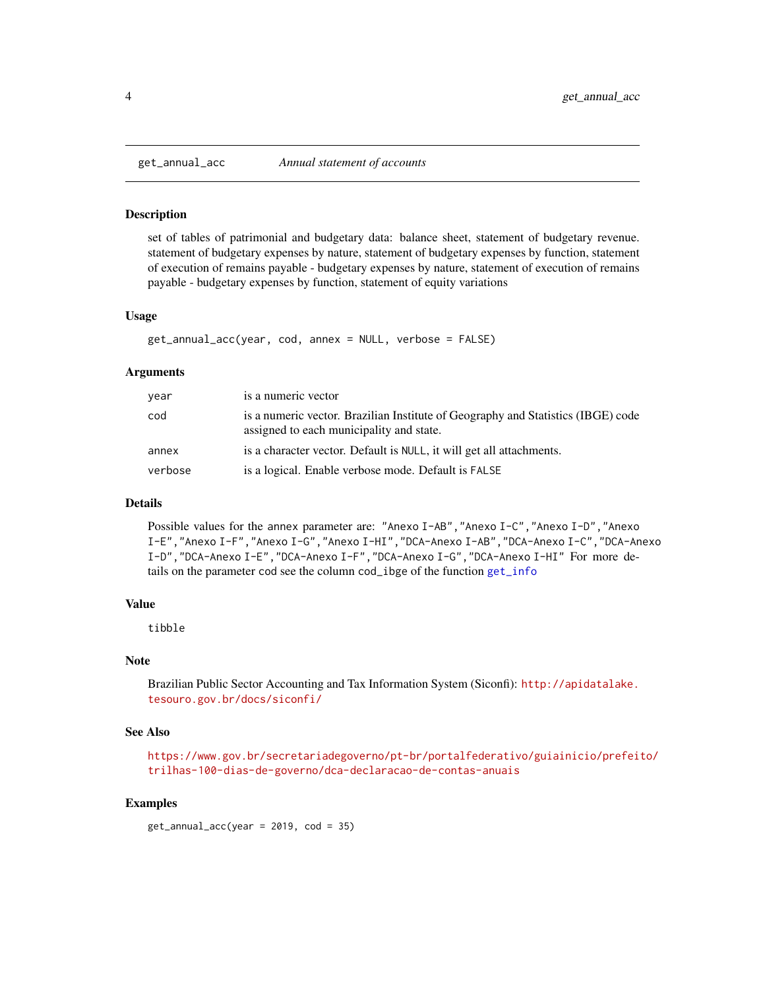<span id="page-3-0"></span>

set of tables of patrimonial and budgetary data: balance sheet, statement of budgetary revenue. statement of budgetary expenses by nature, statement of budgetary expenses by function, statement of execution of remains payable - budgetary expenses by nature, statement of execution of remains payable - budgetary expenses by function, statement of equity variations

#### Usage

```
get_annual_acc(year, cod, annex = NULL, verbose = FALSE)
```
#### Arguments

| year    | is a numeric vector                                                                                                          |
|---------|------------------------------------------------------------------------------------------------------------------------------|
| cod     | is a numeric vector. Brazilian Institute of Geography and Statistics (IBGE) code<br>assigned to each municipality and state. |
| annex   | is a character vector. Default is NULL, it will get all attachments.                                                         |
| verbose | is a logical. Enable verbose mode. Default is FALSE                                                                          |

#### Details

Possible values for the annex parameter are: "Anexo I-AB","Anexo I-C","Anexo I-D","Anexo I-E","Anexo I-F","Anexo I-G","Anexo I-HI","DCA-Anexo I-AB","DCA-Anexo I-C","DCA-Anexo I-D","DCA-Anexo I-E","DCA-Anexo I-F","DCA-Anexo I-G","DCA-Anexo I-HI" For more details on the parameter cod see the column cod\_ibge of the function [get\\_info](#page-6-1)

### Value

tibble

#### Note

Brazilian Public Sector Accounting and Tax Information System (Siconfi): [http://apidatalake.](http://apidatalake.tesouro.gov.br/docs/siconfi/) [tesouro.gov.br/docs/siconfi/](http://apidatalake.tesouro.gov.br/docs/siconfi/)

#### See Also

[https://www.gov.br/secretariadegoverno/pt-br/portalfederativo/guiainicio/prefeit](https://www.gov.br/secretariadegoverno/pt-br/portalfederativo/guiainicio/prefeito/trilhas-100-dias-de-governo/dca-declaracao-de-contas-anuais)o/ [trilhas-100-dias-de-governo/dca-declaracao-de-contas-anuais](https://www.gov.br/secretariadegoverno/pt-br/portalfederativo/guiainicio/prefeito/trilhas-100-dias-de-governo/dca-declaracao-de-contas-anuais)

#### Examples

 $get_annual_acc(year = 2019, cod = 35)$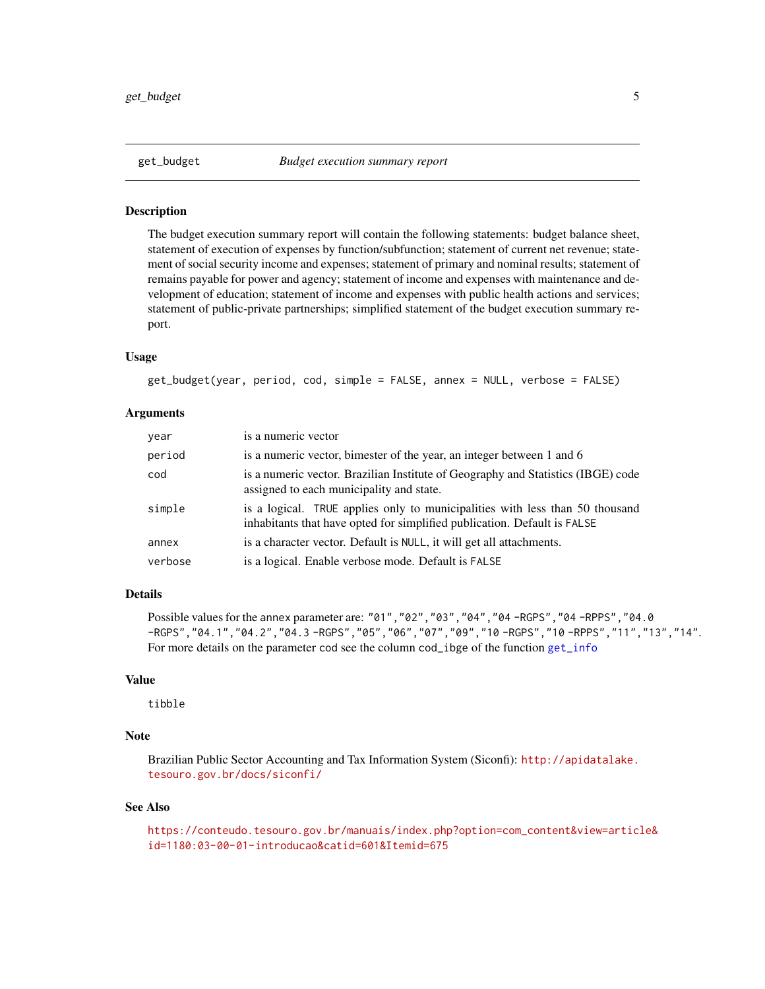<span id="page-4-0"></span>The budget execution summary report will contain the following statements: budget balance sheet, statement of execution of expenses by function/subfunction; statement of current net revenue; statement of social security income and expenses; statement of primary and nominal results; statement of remains payable for power and agency; statement of income and expenses with maintenance and development of education; statement of income and expenses with public health actions and services; statement of public-private partnerships; simplified statement of the budget execution summary report.

# Usage

get\_budget(year, period, cod, simple = FALSE, annex = NULL, verbose = FALSE)

#### Arguments

| year    | is a numeric vector                                                                                                                                      |
|---------|----------------------------------------------------------------------------------------------------------------------------------------------------------|
| period  | is a numeric vector, bimester of the year, an integer between 1 and 6                                                                                    |
| cod     | is a numeric vector. Brazilian Institute of Geography and Statistics (IBGE) code<br>assigned to each municipality and state.                             |
| simple  | is a logical. TRUE applies only to municipalities with less than 50 thousand<br>inhabitants that have opted for simplified publication. Default is FALSE |
| annex   | is a character vector. Default is NULL, it will get all attachments.                                                                                     |
| verbose | is a logical. Enable verbose mode. Default is FALSE                                                                                                      |

# Details

Possible values for the annex parameter are: "01","02","03","04","04 -RGPS","04 -RPPS","04.0 -RGPS","04.1","04.2","04.3 -RGPS","05","06","07","09","10 -RGPS","10 -RPPS","11","13","14". For more details on the parameter cod see the column cod\_ibge of the function [get\\_info](#page-6-1)

### Value

tibble

# Note

Brazilian Public Sector Accounting and Tax Information System (Siconfi): [http://apidatalake.](http://apidatalake.tesouro.gov.br/docs/siconfi/) [tesouro.gov.br/docs/siconfi/](http://apidatalake.tesouro.gov.br/docs/siconfi/)

#### See Also

[https://conteudo.tesouro.gov.br/manuais/index.php?option=com\\_content&view=articl](https://conteudo.tesouro.gov.br/manuais/index.php?option=com_content&view=article&id=1180:03-00-01-introducao&catid=601&Itemid=675)e& [id=1180:03-00-01-introducao&catid=601&Itemid=675](https://conteudo.tesouro.gov.br/manuais/index.php?option=com_content&view=article&id=1180:03-00-01-introducao&catid=601&Itemid=675)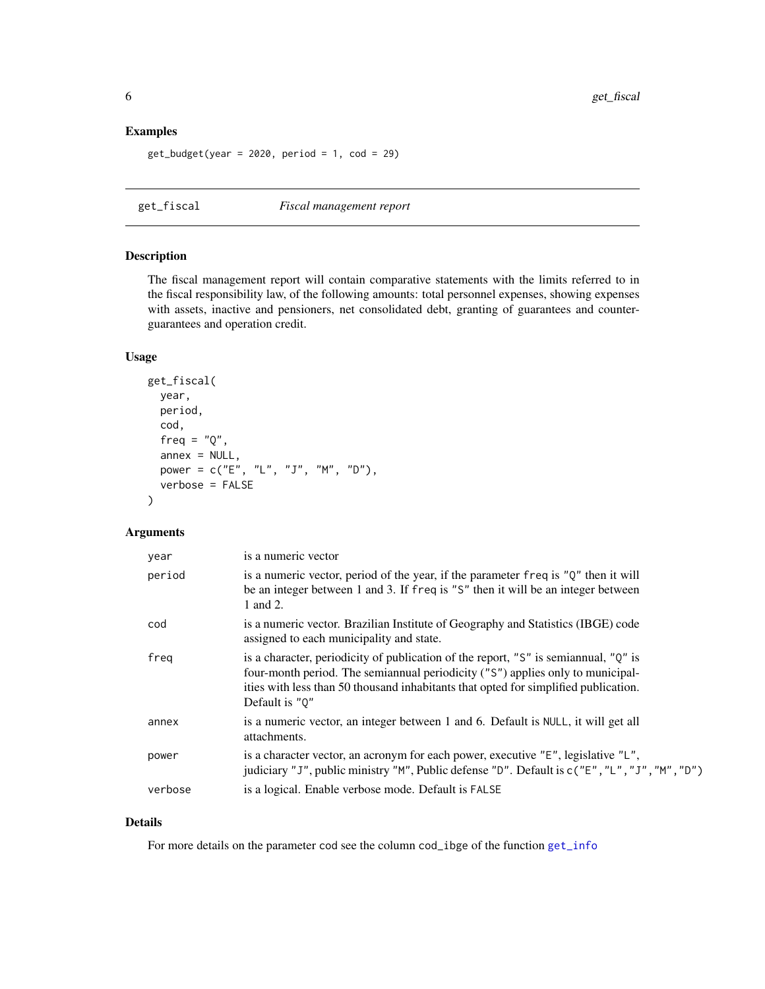# <span id="page-5-0"></span>Examples

```
get_budget(year = 2020, period = 1, cod = 29)
```
# get\_fiscal *Fiscal management report*

### Description

The fiscal management report will contain comparative statements with the limits referred to in the fiscal responsibility law, of the following amounts: total personnel expenses, showing expenses with assets, inactive and pensioners, net consolidated debt, granting of guarantees and counterguarantees and operation credit.

# Usage

```
get_fiscal(
 year,
 period,
  cod,
  freq = "Q",annex = NULL,power = c("E", "L", "J", "M", "D"),
  verbose = FALSE
)
```
# Arguments

| year    | is a numeric vector                                                                                                                                                                                                                                                                |
|---------|------------------------------------------------------------------------------------------------------------------------------------------------------------------------------------------------------------------------------------------------------------------------------------|
| period  | is a numeric vector, period of the year, if the parameter freq is "Q" then it will<br>be an integer between 1 and 3. If freq is "S" then it will be an integer between<br>1 and 2.                                                                                                 |
| cod     | is a numeric vector. Brazilian Institute of Geography and Statistics (IBGE) code<br>assigned to each municipality and state.                                                                                                                                                       |
| freq    | is a character, periodicity of publication of the report, "S" is semiannual, " $Q$ " is<br>four-month period. The semiannual periodicity ("S") applies only to municipal-<br>ities with less than 50 thousand inhabitants that opted for simplified publication.<br>Default is "0" |
| annex   | is a numeric vector, an integer between 1 and 6. Default is NULL, it will get all<br>attachments.                                                                                                                                                                                  |
| power   | is a character vector, an acronym for each power, executive "E", legislative "L",<br>judiciary "J", public ministry "M", Public defense "D". Default is c("E", "L", "J", "M", "D")                                                                                                 |
| verbose | is a logical. Enable verbose mode. Default is FALSE                                                                                                                                                                                                                                |

### Details

For more details on the parameter cod see the column cod\_ibge of the function [get\\_info](#page-6-1)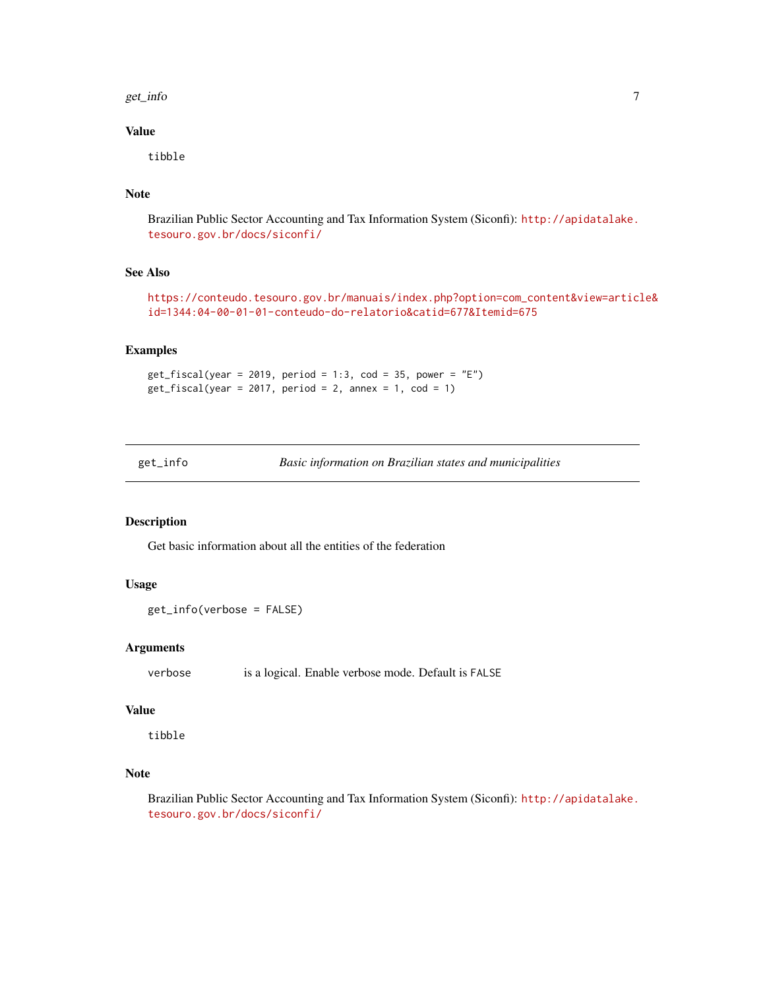#### <span id="page-6-0"></span>get\_info 7

# Value

tibble

# Note

Brazilian Public Sector Accounting and Tax Information System (Siconfi): [http://apidatalake.](http://apidatalake.tesouro.gov.br/docs/siconfi/) [tesouro.gov.br/docs/siconfi/](http://apidatalake.tesouro.gov.br/docs/siconfi/)

# See Also

[https://conteudo.tesouro.gov.br/manuais/index.php?option=com\\_content&view=articl](https://conteudo.tesouro.gov.br/manuais/index.php?option=com_content&view=article&id=1344:04-00-01-01-conteudo-do-relatorio&catid=677&Itemid=675)e& [id=1344:04-00-01-01-conteudo-do-relatorio&catid=677&Itemid=675](https://conteudo.tesouro.gov.br/manuais/index.php?option=com_content&view=article&id=1344:04-00-01-01-conteudo-do-relatorio&catid=677&Itemid=675)

# Examples

```
get_f iscal(year = 2019, period = 1:3, cod = 35, power = "E")get_f iscal(year = 2017, period = 2, annex = 1, cod = 1)
```
<span id="page-6-1"></span>get\_info *Basic information on Brazilian states and municipalities*

# Description

Get basic information about all the entities of the federation

# Usage

```
get_info(verbose = FALSE)
```
### Arguments

verbose is a logical. Enable verbose mode. Default is FALSE

#### Value

tibble

# Note

Brazilian Public Sector Accounting and Tax Information System (Siconfi): [http://apidatalake.](http://apidatalake.tesouro.gov.br/docs/siconfi/) [tesouro.gov.br/docs/siconfi/](http://apidatalake.tesouro.gov.br/docs/siconfi/)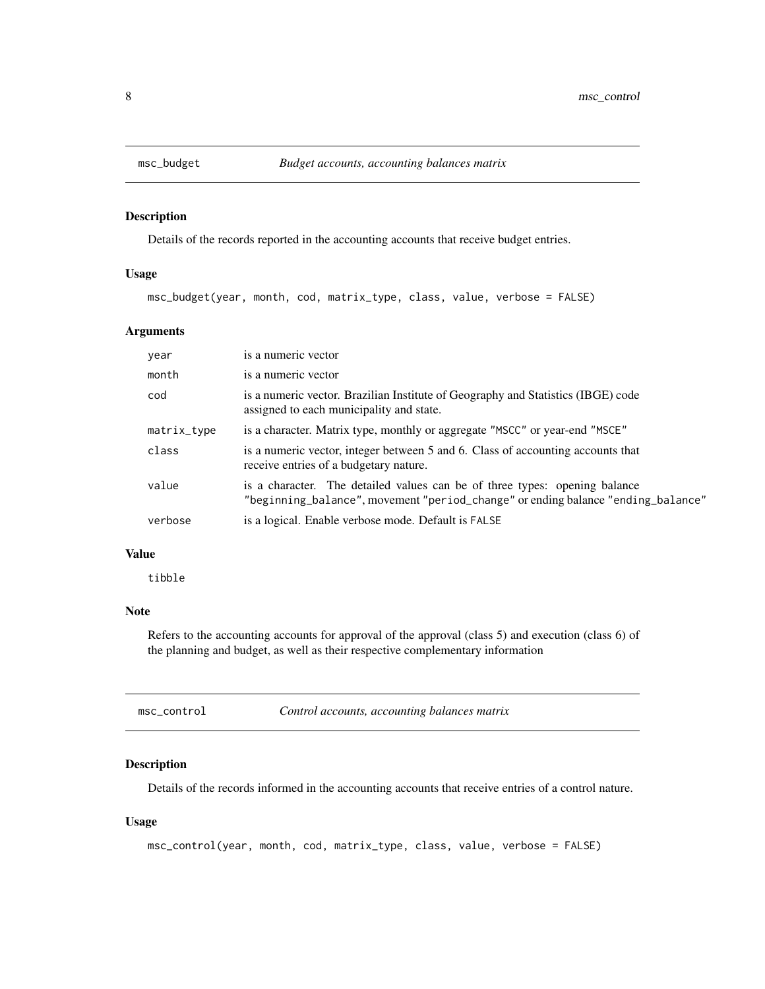<span id="page-7-0"></span>

Details of the records reported in the accounting accounts that receive budget entries.

# Usage

msc\_budget(year, month, cod, matrix\_type, class, value, verbose = FALSE)

# Arguments

| year        | is a numeric vector                                                                                                                                            |
|-------------|----------------------------------------------------------------------------------------------------------------------------------------------------------------|
| month       | is a numeric vector                                                                                                                                            |
| cod         | is a numeric vector. Brazilian Institute of Geography and Statistics (IBGE) code<br>assigned to each municipality and state.                                   |
| matrix_type | is a character. Matrix type, monthly or aggregate "MSCC" or year-end "MSCE"                                                                                    |
| class       | is a numeric vector, integer between 5 and 6. Class of accounting accounts that<br>receive entries of a budgetary nature.                                      |
| value       | is a character. The detailed values can be of three types: opening balance<br>"beginning_balance", movement "period_change" or ending balance "ending_balance" |
| verbose     | is a logical. Enable verbose mode. Default is FALSE                                                                                                            |

#### Value

tibble

# Note

Refers to the accounting accounts for approval of the approval (class 5) and execution (class 6) of the planning and budget, as well as their respective complementary information

| msc_control | Control accounts, accounting balances matrix |
|-------------|----------------------------------------------|
|-------------|----------------------------------------------|

# Description

Details of the records informed in the accounting accounts that receive entries of a control nature.

# Usage

```
msc_control(year, month, cod, matrix_type, class, value, verbose = FALSE)
```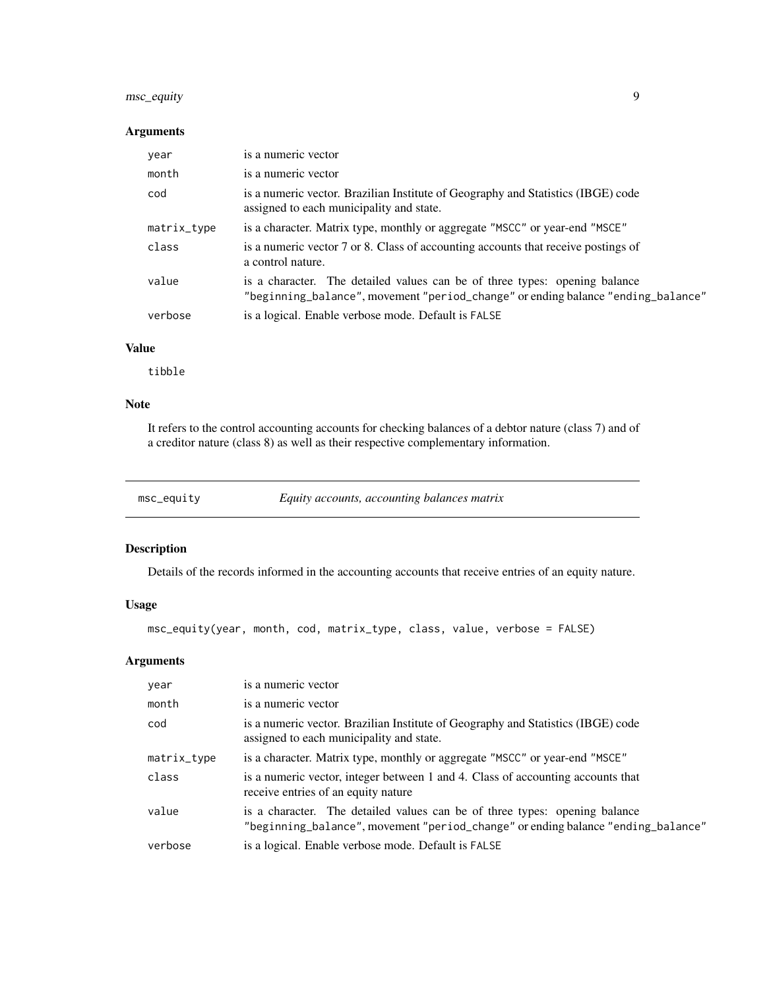# <span id="page-8-0"></span>msc\_equity 9

# Arguments

| year        |                                                                                                                                                                |
|-------------|----------------------------------------------------------------------------------------------------------------------------------------------------------------|
| month       | is a numeric vector                                                                                                                                            |
| cod         | is a numeric vector. Brazilian Institute of Geography and Statistics (IBGE) code<br>assigned to each municipality and state.                                   |
| matrix_type | is a character. Matrix type, monthly or aggregate "MSCC" or year-end "MSCE"                                                                                    |
| class       | is a numeric vector 7 or 8. Class of accounting accounts that receive postings of<br>a control nature.                                                         |
| value       | is a character. The detailed values can be of three types: opening balance<br>"beginning_balance", movement "period_change" or ending balance "ending_balance" |
| verbose     | is a logical. Enable verbose mode. Default is FALSE                                                                                                            |

# Value

tibble

# Note

It refers to the control accounting accounts for checking balances of a debtor nature (class 7) and of a creditor nature (class 8) as well as their respective complementary information.

| msc_equity | Equity accounts, accounting balances matrix |
|------------|---------------------------------------------|
|------------|---------------------------------------------|

# Description

Details of the records informed in the accounting accounts that receive entries of an equity nature.

# Usage

msc\_equity(year, month, cod, matrix\_type, class, value, verbose = FALSE)

# Arguments

| year        | is a numeric vector                                                                                                                                            |
|-------------|----------------------------------------------------------------------------------------------------------------------------------------------------------------|
| month       | is a numeric vector                                                                                                                                            |
| cod         | is a numeric vector. Brazilian Institute of Geography and Statistics (IBGE) code<br>assigned to each municipality and state.                                   |
| matrix_type | is a character. Matrix type, monthly or aggregate "MSCC" or year-end "MSCE"                                                                                    |
| class       | is a numeric vector, integer between 1 and 4. Class of accounting accounts that<br>receive entries of an equity nature                                         |
| value       | is a character. The detailed values can be of three types: opening balance<br>"beginning_balance", movement "period_change" or ending balance "ending_balance" |
| verbose     | is a logical. Enable verbose mode. Default is FALSE                                                                                                            |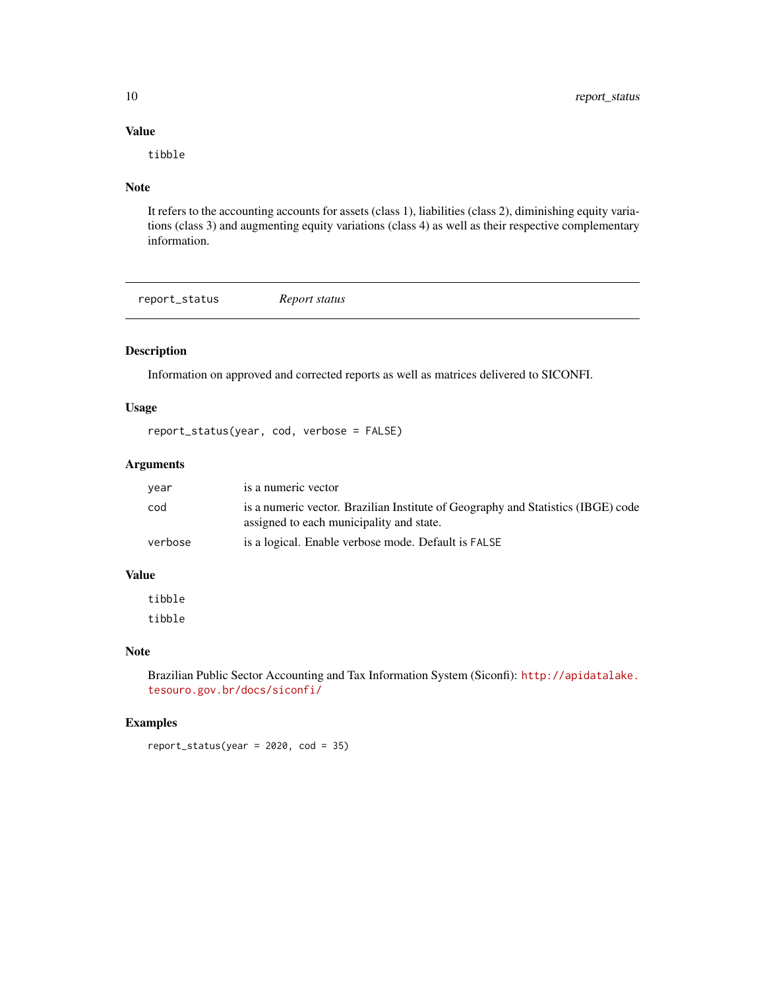# Value

tibble

# Note

It refers to the accounting accounts for assets (class 1), liabilities (class 2), diminishing equity variations (class 3) and augmenting equity variations (class 4) as well as their respective complementary information.

report\_status *Report status*

# Description

Information on approved and corrected reports as well as matrices delivered to SICONFI.

# Usage

report\_status(year, cod, verbose = FALSE)

#### Arguments

| year    | is a numeric vector                                                                                                          |
|---------|------------------------------------------------------------------------------------------------------------------------------|
| cod     | is a numeric vector. Brazilian Institute of Geography and Statistics (IBGE) code<br>assigned to each municipality and state. |
| verbose | is a logical. Enable verbose mode. Default is FALSE                                                                          |

### Value

tibble tibble

### Note

Brazilian Public Sector Accounting and Tax Information System (Siconfi): [http://apidatalake.](http://apidatalake.tesouro.gov.br/docs/siconfi/) [tesouro.gov.br/docs/siconfi/](http://apidatalake.tesouro.gov.br/docs/siconfi/)

# Examples

 $report\_status(year = 2020, cod = 35)$ 

<span id="page-9-0"></span>